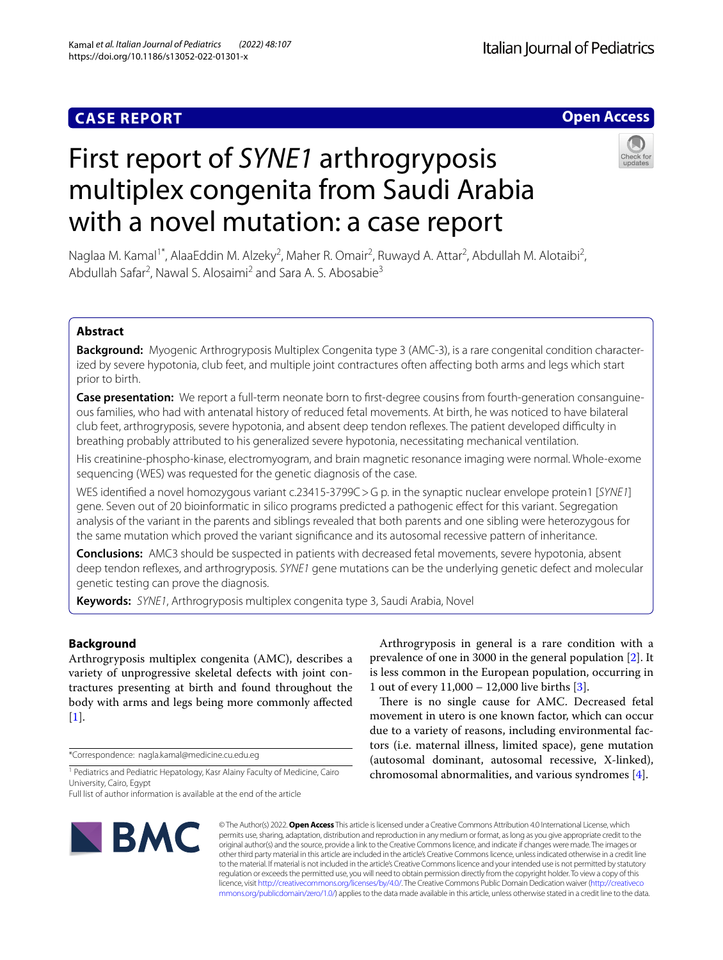# **CASE REPORT**

# **Open Access**

# First report of *SYNE1* arthrogryposis multiplex congenita from Saudi Arabia with a novel mutation: a case report



Naglaa M. Kamal<sup>1\*</sup>, AlaaEddin M. Alzeky<sup>2</sup>, Maher R. Omair<sup>2</sup>, Ruwayd A. Attar<sup>2</sup>, Abdullah M. Alotaibi<sup>2</sup>, Abdullah Safar<sup>2</sup>, Nawal S. Alosaimi<sup>2</sup> and Sara A. S. Abosabie<sup>3</sup>

# **Abstract**

**Background:** Myogenic Arthrogryposis Multiplex Congenita type 3 (AMC-3), is a rare congenital condition characterized by severe hypotonia, club feet, and multiple joint contractures often afecting both arms and legs which start prior to birth.

**Case presentation:** We report a full-term neonate born to frst-degree cousins from fourth-generation consanguineous families, who had with antenatal history of reduced fetal movements. At birth, he was noticed to have bilateral club feet, arthrogryposis, severe hypotonia, and absent deep tendon refexes. The patient developed difculty in breathing probably attributed to his generalized severe hypotonia, necessitating mechanical ventilation.

His creatinine-phospho-kinase, electromyogram, and brain magnetic resonance imaging were normal. Whole-exome sequencing (WES) was requested for the genetic diagnosis of the case.

WES identifed a novel homozygous variant c.23415-3799C>G p. in the synaptic nuclear envelope protein1 [*SYNE1*] gene. Seven out of 20 bioinformatic in silico programs predicted a pathogenic efect for this variant. Segregation analysis of the variant in the parents and siblings revealed that both parents and one sibling were heterozygous for the same mutation which proved the variant signifcance and its autosomal recessive pattern of inheritance.

**Conclusions:** AMC3 should be suspected in patients with decreased fetal movements, severe hypotonia, absent deep tendon refexes, and arthrogryposis. *SYNE1* gene mutations can be the underlying genetic defect and molecular genetic testing can prove the diagnosis.

**Keywords:** *SYNE1*, Arthrogryposis multiplex congenita type 3, Saudi Arabia, Novel

# **Background**

Arthrogryposis multiplex congenita (AMC), describes a variety of unprogressive skeletal defects with joint contractures presenting at birth and found throughout the body with arms and legs being more commonly afected [[1\]](#page-5-0).

\*Correspondence: nagla.kamal@medicine.cu.edu.eg

Full list of author information is available at the end of the article



Arthrogryposis in general is a rare condition with a prevalence of one in 3000 in the general population [[2](#page-5-1)]. It is less common in the European population, occurring in 1 out of every 11,000 – 12,000 live births [\[3](#page-5-2)].

There is no single cause for AMC. Decreased fetal movement in utero is one known factor, which can occur due to a variety of reasons, including environmental factors (i.e. maternal illness, limited space), gene mutation (autosomal dominant, autosomal recessive, X-linked), chromosomal abnormalities, and various syndromes [[4\]](#page-5-3).

© The Author(s) 2022. **Open Access** This article is licensed under a Creative Commons Attribution 4.0 International License, which permits use, sharing, adaptation, distribution and reproduction in any medium or format, as long as you give appropriate credit to the original author(s) and the source, provide a link to the Creative Commons licence, and indicate if changes were made. The images or other third party material in this article are included in the article's Creative Commons licence, unless indicated otherwise in a credit line to the material. If material is not included in the article's Creative Commons licence and your intended use is not permitted by statutory regulation or exceeds the permitted use, you will need to obtain permission directly from the copyright holder. To view a copy of this licence, visit [http://creativecommons.org/licenses/by/4.0/.](http://creativecommons.org/licenses/by/4.0/) The Creative Commons Public Domain Dedication waiver ([http://creativeco](http://creativecommons.org/publicdomain/zero/1.0/) [mmons.org/publicdomain/zero/1.0/](http://creativecommons.org/publicdomain/zero/1.0/)) applies to the data made available in this article, unless otherwise stated in a credit line to the data.

<sup>&</sup>lt;sup>1</sup> Pediatrics and Pediatric Hepatology, Kasr Alainy Faculty of Medicine, Cairo University, Cairo, Egypt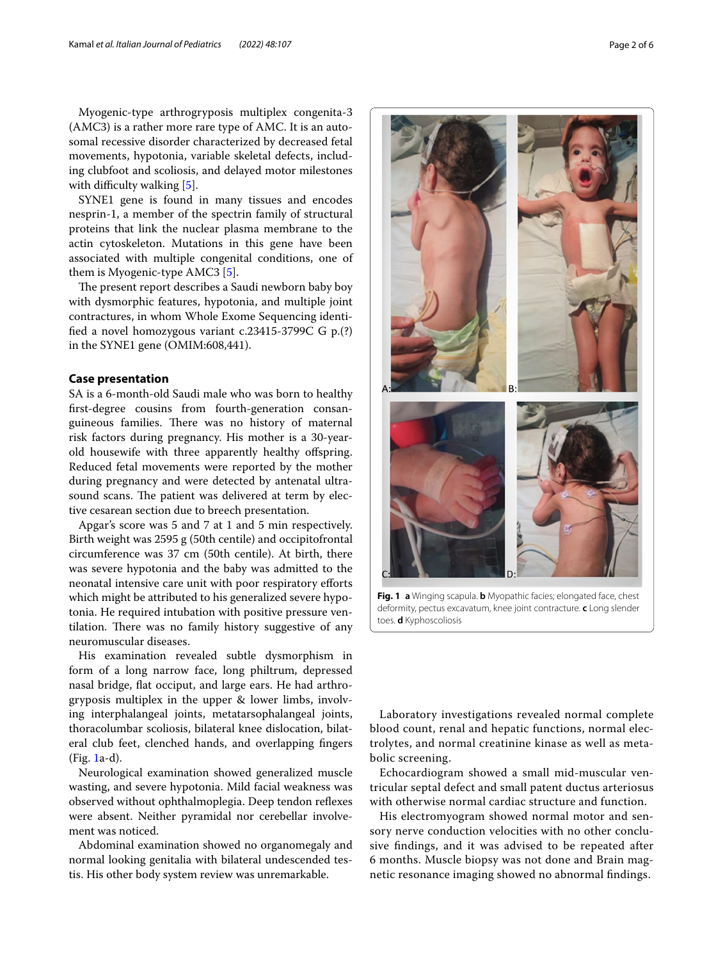Myogenic-type arthrogryposis multiplex congenita-3 (AMC3) is a rather more rare type of AMC. It is an autosomal recessive disorder characterized by decreased fetal movements, hypotonia, variable skeletal defects, including clubfoot and scoliosis, and delayed motor milestones with difficulty walking  $[5]$ .

SYNE1 gene is found in many tissues and encodes nesprin-1, a member of the spectrin family of structural proteins that link the nuclear plasma membrane to the actin cytoskeleton. Mutations in this gene have been associated with multiple congenital conditions, one of them is Myogenic-type AMC3 [[5](#page-5-4)].

The present report describes a Saudi newborn baby boy with dysmorphic features, hypotonia, and multiple joint contractures, in whom Whole Exome Sequencing identifed a novel homozygous variant c.23415-3799C G p.(?) in the SYNE1 gene (OMIM:608,441).

# **Case presentation**

SA is a 6-month-old Saudi male who was born to healthy frst-degree cousins from fourth-generation consanguineous families. There was no history of maternal risk factors during pregnancy. His mother is a 30-yearold housewife with three apparently healthy ofspring. Reduced fetal movements were reported by the mother during pregnancy and were detected by antenatal ultrasound scans. The patient was delivered at term by elective cesarean section due to breech presentation.

Apgar's score was 5 and 7 at 1 and 5 min respectively. Birth weight was 2595 g (50th centile) and occipitofrontal circumference was 37 cm (50th centile). At birth, there was severe hypotonia and the baby was admitted to the neonatal intensive care unit with poor respiratory eforts which might be attributed to his generalized severe hypotonia. He required intubation with positive pressure ventilation. There was no family history suggestive of any neuromuscular diseases.

His examination revealed subtle dysmorphism in form of a long narrow face, long philtrum, depressed nasal bridge, fat occiput, and large ears. He had arthrogryposis multiplex in the upper & lower limbs, involving interphalangeal joints, metatarsophalangeal joints, thoracolumbar scoliosis, bilateral knee dislocation, bilateral club feet, clenched hands, and overlapping fngers (Fig. [1a](#page-1-0)-d).

Neurological examination showed generalized muscle wasting, and severe hypotonia. Mild facial weakness was observed without ophthalmoplegia. Deep tendon refexes were absent. Neither pyramidal nor cerebellar involvement was noticed.

Abdominal examination showed no organomegaly and normal looking genitalia with bilateral undescended testis. His other body system review was unremarkable.

<span id="page-1-0"></span>**Fig. 1 a** Winging scapula. **b** Myopathic facies; elongated face, chest deformity, pectus excavatum, knee joint contracture. **c** Long slender toes. **d** Kyphoscoliosis

Laboratory investigations revealed normal complete blood count, renal and hepatic functions, normal electrolytes, and normal creatinine kinase as well as metabolic screening.

Echocardiogram showed a small mid-muscular ventricular septal defect and small patent ductus arteriosus with otherwise normal cardiac structure and function.

His electromyogram showed normal motor and sensory nerve conduction velocities with no other conclusive fndings, and it was advised to be repeated after 6 months. Muscle biopsy was not done and Brain magnetic resonance imaging showed no abnormal fndings.

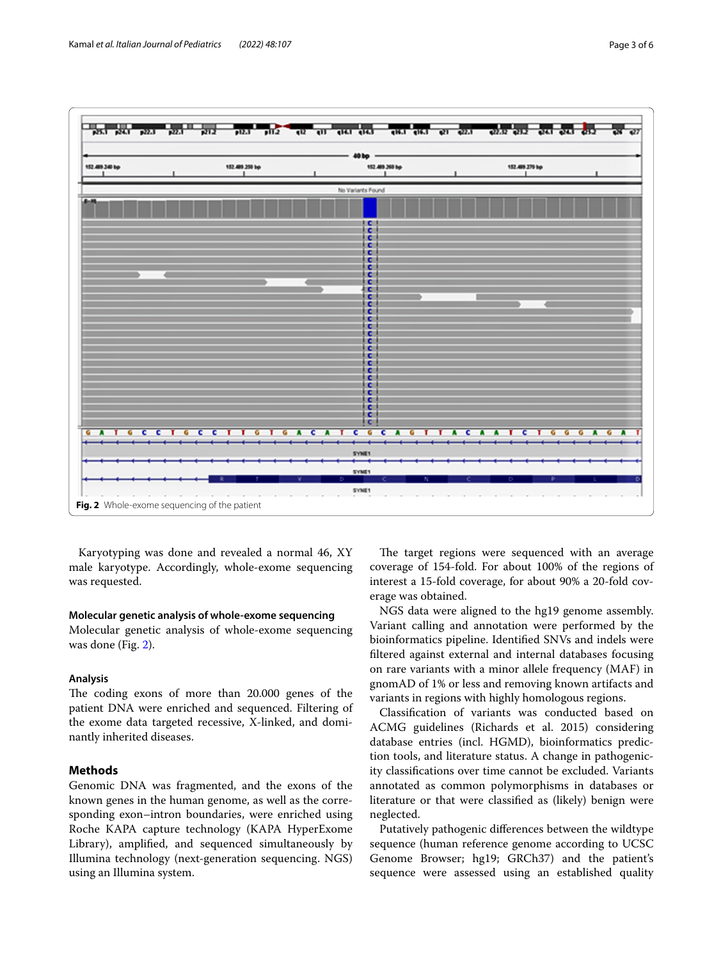

<span id="page-2-0"></span>Karyotyping was done and revealed a normal 46, XY male karyotype. Accordingly, whole-exome sequencing was requested.

## **Molecular genetic analysis of whole‑exome sequencing**

Molecular genetic analysis of whole-exome sequencing was done (Fig. [2](#page-2-0)).

# **Analysis**

The coding exons of more than 20.000 genes of the patient DNA were enriched and sequenced. Filtering of the exome data targeted recessive, X-linked, and dominantly inherited diseases.

# **Methods**

Genomic DNA was fragmented, and the exons of the known genes in the human genome, as well as the corresponding exon–intron boundaries, were enriched using Roche KAPA capture technology (KAPA HyperExome Library), amplifed, and sequenced simultaneously by Illumina technology (next-generation sequencing. NGS) using an Illumina system.

The target regions were sequenced with an average coverage of 154-fold. For about 100% of the regions of interest a 15-fold coverage, for about 90% a 20-fold coverage was obtained.

NGS data were aligned to the hg19 genome assembly. Variant calling and annotation were performed by the bioinformatics pipeline. Identifed SNVs and indels were fltered against external and internal databases focusing on rare variants with a minor allele frequency (MAF) in gnomAD of 1% or less and removing known artifacts and variants in regions with highly homologous regions.

Classifcation of variants was conducted based on ACMG guidelines (Richards et al. 2015) considering database entries (incl. HGMD), bioinformatics prediction tools, and literature status. A change in pathogenicity classifcations over time cannot be excluded. Variants annotated as common polymorphisms in databases or literature or that were classifed as (likely) benign were neglected.

Putatively pathogenic diferences between the wildtype sequence (human reference genome according to UCSC Genome Browser; hg19; GRCh37) and the patient's sequence were assessed using an established quality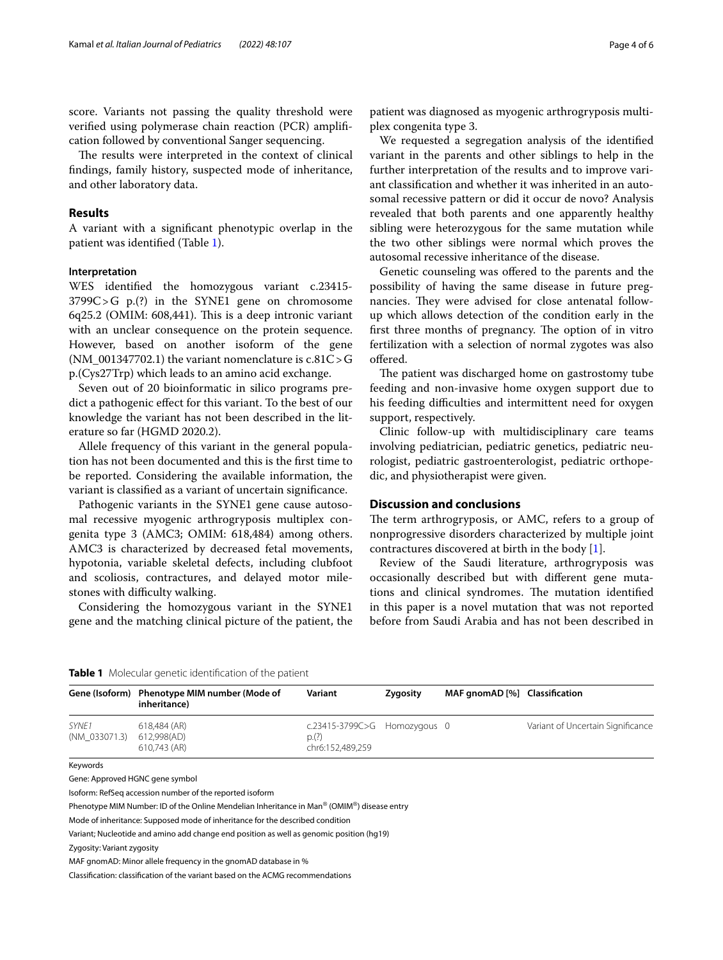score. Variants not passing the quality threshold were verifed using polymerase chain reaction (PCR) amplifcation followed by conventional Sanger sequencing.

The results were interpreted in the context of clinical fndings, family history, suspected mode of inheritance, and other laboratory data.

## **Results**

A variant with a signifcant phenotypic overlap in the patient was identifed (Table [1](#page-3-0)).

# **Interpretation**

WES identifed the homozygous variant c.23415- 3799C>G p.(?) in the SYNE1 gene on chromosome 6q25.2 (OMIM: 608,441). This is a deep intronic variant with an unclear consequence on the protein sequence. However, based on another isoform of the gene (NM\_001347702.1) the variant nomenclature is  $c.81C > G$ p.(Cys27Trp) which leads to an amino acid exchange.

Seven out of 20 bioinformatic in silico programs predict a pathogenic efect for this variant. To the best of our knowledge the variant has not been described in the literature so far (HGMD 2020.2).

Allele frequency of this variant in the general population has not been documented and this is the frst time to be reported. Considering the available information, the variant is classifed as a variant of uncertain signifcance.

Pathogenic variants in the SYNE1 gene cause autosomal recessive myogenic arthrogryposis multiplex congenita type 3 (AMC3; OMIM: 618,484) among others. AMC3 is characterized by decreased fetal movements, hypotonia, variable skeletal defects, including clubfoot and scoliosis, contractures, and delayed motor milestones with difficulty walking.

Considering the homozygous variant in the SYNE1 gene and the matching clinical picture of the patient, the

patient was diagnosed as myogenic arthrogryposis multiplex congenita type 3.

We requested a segregation analysis of the identifed variant in the parents and other siblings to help in the further interpretation of the results and to improve variant classifcation and whether it was inherited in an autosomal recessive pattern or did it occur de novo? Analysis revealed that both parents and one apparently healthy sibling were heterozygous for the same mutation while the two other siblings were normal which proves the autosomal recessive inheritance of the disease.

Genetic counseling was ofered to the parents and the possibility of having the same disease in future pregnancies. They were advised for close antenatal followup which allows detection of the condition early in the first three months of pregnancy. The option of in vitro fertilization with a selection of normal zygotes was also ofered.

The patient was discharged home on gastrostomy tube feeding and non-invasive home oxygen support due to his feeding difficulties and intermittent need for oxygen support, respectively.

Clinic follow-up with multidisciplinary care teams involving pediatrician, pediatric genetics, pediatric neurologist, pediatric gastroenterologist, pediatric orthopedic, and physiotherapist were given.

## **Discussion and conclusions**

The term arthrogryposis, or AMC, refers to a group of nonprogressive disorders characterized by multiple joint contractures discovered at birth in the body [[1\]](#page-5-0).

Review of the Saudi literature, arthrogryposis was occasionally described but with diferent gene mutations and clinical syndromes. The mutation identified in this paper is a novel mutation that was not reported before from Saudi Arabia and has not been described in

<span id="page-3-0"></span>

|                        | Gene (Isoform) Phenotype MIM number (Mode of<br>inheritance) | Variant                                                  | Zygosity | MAF gnomAD [%] Classification |                                   |
|------------------------|--------------------------------------------------------------|----------------------------------------------------------|----------|-------------------------------|-----------------------------------|
| SYNE1<br>(NM 033071.3) | 618.484 (AR)<br>612.998(AD)<br>610.743 (AR)                  | c.23415-3799C>G Homozygous 0<br>p(?)<br>chr6:152,489,259 |          |                               | Variant of Uncertain Significance |

Keywords

Gene: Approved HGNC gene symbol

Isoform: RefSeq accession number of the reported isoform

Phenotype MIM Number: ID of the Online Mendelian Inheritance in Man® (OMIM®) disease entry

Mode of inheritance: Supposed mode of inheritance for the described condition

Variant; Nucleotide and amino add change end position as well as genomic position (hg19)

Zygosity: Variant zygosity

MAF gnomAD: Minor allele frequency in the gnomAD database in %

Classifcation: classifcation of the variant based on the ACMG recommendations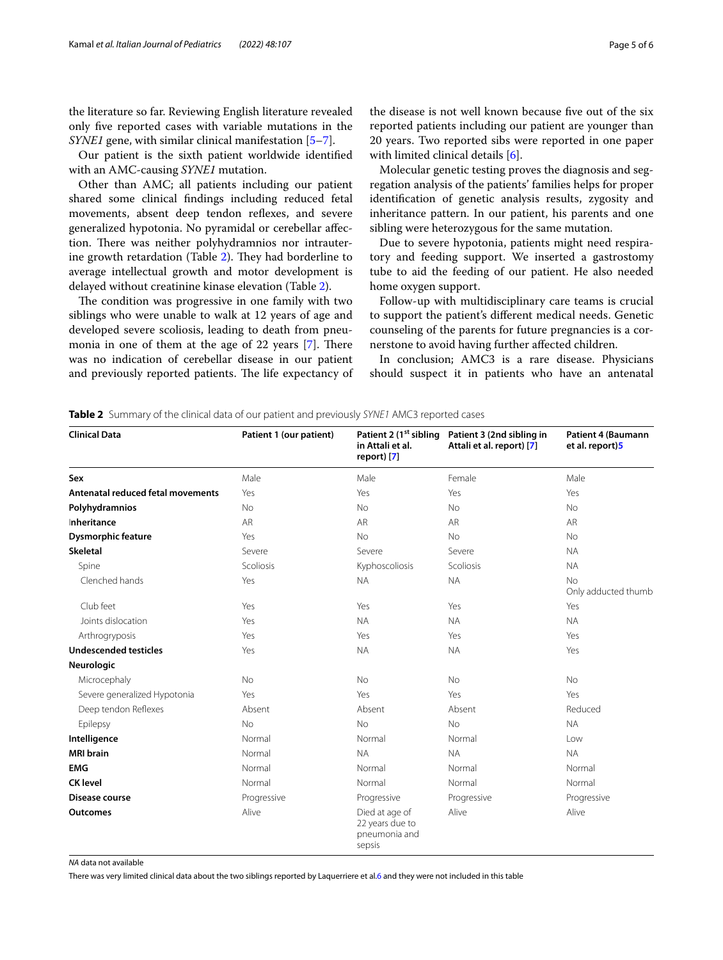the literature so far. Reviewing English literature revealed only fve reported cases with variable mutations in the *SYNE1* gene, with similar clinical manifestation [\[5](#page-5-4)[–7\]](#page-5-5).

Our patient is the sixth patient worldwide identifed with an AMC-causing *SYNE1* mutation.

Other than AMC; all patients including our patient shared some clinical fndings including reduced fetal movements, absent deep tendon refexes, and severe generalized hypotonia. No pyramidal or cerebellar afection. There was neither polyhydramnios nor intrauter-ine growth retardation (Table [2\)](#page-4-0). They had borderline to average intellectual growth and motor development is delayed without creatinine kinase elevation (Table [2\)](#page-4-0).

The condition was progressive in one family with two siblings who were unable to walk at 12 years of age and developed severe scoliosis, leading to death from pneumonia in one of them at the age of 22 years  $[7]$  $[7]$ . There was no indication of cerebellar disease in our patient and previously reported patients. The life expectancy of

the disease is not well known because five out of the six reported patients including our patient are younger than 20 years. Two reported sibs were reported in one paper with limited clinical details [\[6](#page-5-6)].

Molecular genetic testing proves the diagnosis and segregation analysis of the patients' families helps for proper identifcation of genetic analysis results, zygosity and inheritance pattern. In our patient, his parents and one sibling were heterozygous for the same mutation.

Due to severe hypotonia, patients might need respiratory and feeding support. We inserted a gastrostomy tube to aid the feeding of our patient. He also needed home oxygen support.

Follow-up with multidisciplinary care teams is crucial to support the patient's diferent medical needs. Genetic counseling of the parents for future pregnancies is a cornerstone to avoid having further afected children.

In conclusion; AMC3 is a rare disease. Physicians should suspect it in patients who have an antenatal

<span id="page-4-0"></span>**Table 2** Summary of the clinical data of our patient and previously *SYNE1* AMC3 reported cases

| <b>Clinical Data</b>              | Patient 1 (our patient) | Patient 2 (1 <sup>st</sup> sibling<br>in Attali et al.<br>report) [7] | Patient 3 (2nd sibling in<br>Attali et al. report) [7] | <b>Patient 4 (Baumann</b><br>et al. report)5 |
|-----------------------------------|-------------------------|-----------------------------------------------------------------------|--------------------------------------------------------|----------------------------------------------|
| Sex                               | Male                    | Male                                                                  | Female                                                 | Male                                         |
| Antenatal reduced fetal movements | Yes                     | Yes                                                                   | Yes                                                    | Yes                                          |
| Polyhydramnios                    | <b>No</b>               | <b>No</b>                                                             | No                                                     | <b>No</b>                                    |
| Inheritance                       | <b>AR</b>               | <b>AR</b>                                                             | <b>AR</b>                                              | AR                                           |
| Dysmorphic feature                | Yes                     | <b>No</b>                                                             | <b>No</b>                                              | <b>No</b>                                    |
| <b>Skeletal</b>                   | Severe                  | Severe                                                                | Severe                                                 | <b>NA</b>                                    |
| Spine                             | Scoliosis               | Kyphoscoliosis                                                        | Scoliosis                                              | <b>NA</b>                                    |
| Clenched hands                    | Yes                     | <b>NA</b>                                                             | <b>NA</b>                                              | <b>No</b><br>Only adducted thumb             |
| Club feet                         | Yes                     | Yes                                                                   | Yes                                                    | Yes                                          |
| Joints dislocation                | Yes                     | <b>NA</b>                                                             | <b>NA</b>                                              | <b>NA</b>                                    |
| Arthrogryposis                    | Yes                     | Yes                                                                   | Yes                                                    | Yes                                          |
| <b>Undescended testicles</b>      | Yes                     | <b>NA</b>                                                             | <b>NA</b>                                              | Yes                                          |
| Neurologic                        |                         |                                                                       |                                                        |                                              |
| Microcephaly                      | <b>No</b>               | <b>No</b>                                                             | <b>No</b>                                              | <b>No</b>                                    |
| Severe generalized Hypotonia      | Yes                     | Yes                                                                   | Yes                                                    | Yes                                          |
| Deep tendon Reflexes              | Absent                  | Absent                                                                | Absent                                                 | Reduced                                      |
| Epilepsy                          | <b>No</b>               | <b>No</b>                                                             | <b>No</b>                                              | <b>NA</b>                                    |
| Intelligence                      | Normal                  | Normal                                                                | Normal                                                 | Low                                          |
| <b>MRI</b> brain                  | Normal                  | <b>NA</b>                                                             | <b>NA</b>                                              | <b>NA</b>                                    |
| <b>EMG</b>                        | Normal                  | Normal                                                                | Normal                                                 | Normal                                       |
| <b>CK level</b>                   | Normal                  | Normal                                                                | Normal                                                 | Normal                                       |
| Disease course                    | Progressive             | Progressive                                                           | Progressive                                            | Progressive                                  |
| <b>Outcomes</b>                   | Alive                   | Died at age of<br>22 years due to<br>pneumonia and<br>sepsis          | Alive                                                  | Alive                                        |

*NA* data not available

There was very limited clinical data about the two siblings reported by Laquerriere et al.[6](#page-5-6) and they were not included in this table